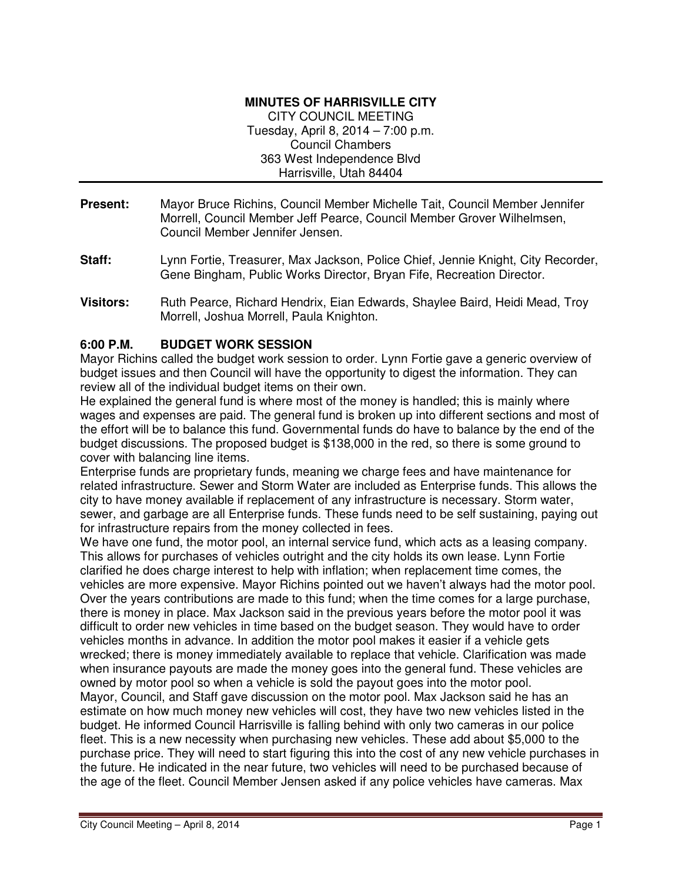#### **MINUTES OF HARRISVILLE CITY**

CITY COUNCIL MEETING Tuesday, April 8, 2014 – 7:00 p.m. Council Chambers 363 West Independence Blvd Harrisville, Utah 84404

- **Present:** Mayor Bruce Richins, Council Member Michelle Tait, Council Member Jennifer Morrell, Council Member Jeff Pearce, Council Member Grover Wilhelmsen, Council Member Jennifer Jensen.
- **Staff:** Lynn Fortie, Treasurer, Max Jackson, Police Chief, Jennie Knight, City Recorder, Gene Bingham, Public Works Director, Bryan Fife, Recreation Director.
- **Visitors:** Ruth Pearce, Richard Hendrix, Eian Edwards, Shaylee Baird, Heidi Mead, Troy Morrell, Joshua Morrell, Paula Knighton.

### **6:00 P.M. BUDGET WORK SESSION**

Mayor Richins called the budget work session to order. Lynn Fortie gave a generic overview of budget issues and then Council will have the opportunity to digest the information. They can review all of the individual budget items on their own.

He explained the general fund is where most of the money is handled; this is mainly where wages and expenses are paid. The general fund is broken up into different sections and most of the effort will be to balance this fund. Governmental funds do have to balance by the end of the budget discussions. The proposed budget is \$138,000 in the red, so there is some ground to cover with balancing line items.

Enterprise funds are proprietary funds, meaning we charge fees and have maintenance for related infrastructure. Sewer and Storm Water are included as Enterprise funds. This allows the city to have money available if replacement of any infrastructure is necessary. Storm water, sewer, and garbage are all Enterprise funds. These funds need to be self sustaining, paying out for infrastructure repairs from the money collected in fees.

We have one fund, the motor pool, an internal service fund, which acts as a leasing company. This allows for purchases of vehicles outright and the city holds its own lease. Lynn Fortie clarified he does charge interest to help with inflation; when replacement time comes, the vehicles are more expensive. Mayor Richins pointed out we haven't always had the motor pool. Over the years contributions are made to this fund; when the time comes for a large purchase, there is money in place. Max Jackson said in the previous years before the motor pool it was difficult to order new vehicles in time based on the budget season. They would have to order vehicles months in advance. In addition the motor pool makes it easier if a vehicle gets wrecked; there is money immediately available to replace that vehicle. Clarification was made when insurance payouts are made the money goes into the general fund. These vehicles are owned by motor pool so when a vehicle is sold the payout goes into the motor pool. Mayor, Council, and Staff gave discussion on the motor pool. Max Jackson said he has an estimate on how much money new vehicles will cost, they have two new vehicles listed in the budget. He informed Council Harrisville is falling behind with only two cameras in our police fleet. This is a new necessity when purchasing new vehicles. These add about \$5,000 to the purchase price. They will need to start figuring this into the cost of any new vehicle purchases in the future. He indicated in the near future, two vehicles will need to be purchased because of the age of the fleet. Council Member Jensen asked if any police vehicles have cameras. Max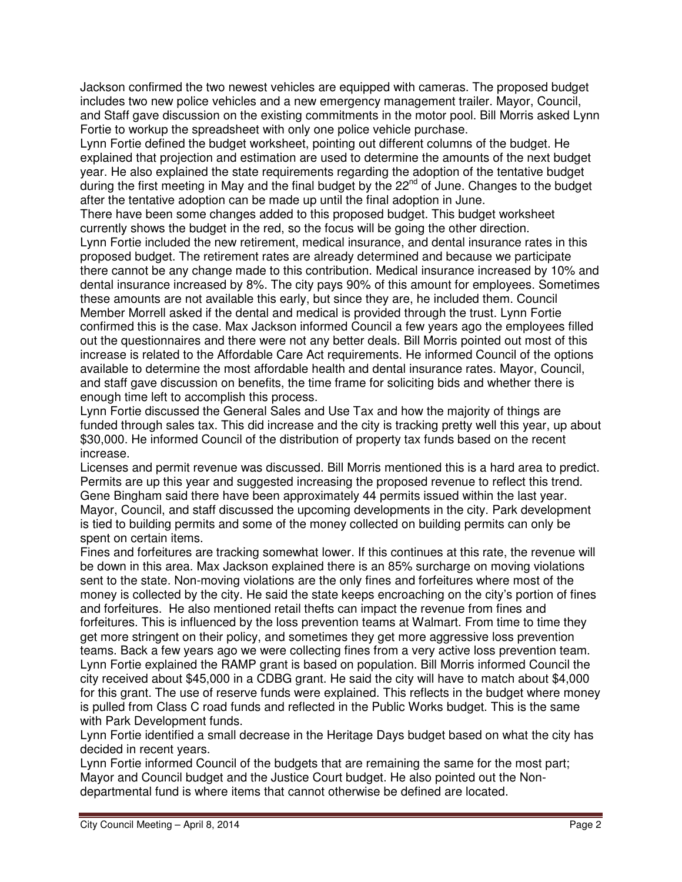Jackson confirmed the two newest vehicles are equipped with cameras. The proposed budget includes two new police vehicles and a new emergency management trailer. Mayor, Council, and Staff gave discussion on the existing commitments in the motor pool. Bill Morris asked Lynn Fortie to workup the spreadsheet with only one police vehicle purchase.

Lynn Fortie defined the budget worksheet, pointing out different columns of the budget. He explained that projection and estimation are used to determine the amounts of the next budget year. He also explained the state requirements regarding the adoption of the tentative budget during the first meeting in May and the final budget by the  $22<sup>nd</sup>$  of June. Changes to the budget after the tentative adoption can be made up until the final adoption in June.

There have been some changes added to this proposed budget. This budget worksheet currently shows the budget in the red, so the focus will be going the other direction.

Lynn Fortie included the new retirement, medical insurance, and dental insurance rates in this proposed budget. The retirement rates are already determined and because we participate there cannot be any change made to this contribution. Medical insurance increased by 10% and dental insurance increased by 8%. The city pays 90% of this amount for employees. Sometimes these amounts are not available this early, but since they are, he included them. Council Member Morrell asked if the dental and medical is provided through the trust. Lynn Fortie confirmed this is the case. Max Jackson informed Council a few years ago the employees filled out the questionnaires and there were not any better deals. Bill Morris pointed out most of this increase is related to the Affordable Care Act requirements. He informed Council of the options available to determine the most affordable health and dental insurance rates. Mayor, Council, and staff gave discussion on benefits, the time frame for soliciting bids and whether there is enough time left to accomplish this process.

Lynn Fortie discussed the General Sales and Use Tax and how the majority of things are funded through sales tax. This did increase and the city is tracking pretty well this year, up about \$30,000. He informed Council of the distribution of property tax funds based on the recent increase.

Licenses and permit revenue was discussed. Bill Morris mentioned this is a hard area to predict. Permits are up this year and suggested increasing the proposed revenue to reflect this trend. Gene Bingham said there have been approximately 44 permits issued within the last year. Mayor, Council, and staff discussed the upcoming developments in the city. Park development is tied to building permits and some of the money collected on building permits can only be spent on certain items.

Fines and forfeitures are tracking somewhat lower. If this continues at this rate, the revenue will be down in this area. Max Jackson explained there is an 85% surcharge on moving violations sent to the state. Non-moving violations are the only fines and forfeitures where most of the money is collected by the city. He said the state keeps encroaching on the city's portion of fines and forfeitures. He also mentioned retail thefts can impact the revenue from fines and forfeitures. This is influenced by the loss prevention teams at Walmart. From time to time they get more stringent on their policy, and sometimes they get more aggressive loss prevention teams. Back a few years ago we were collecting fines from a very active loss prevention team. Lynn Fortie explained the RAMP grant is based on population. Bill Morris informed Council the city received about \$45,000 in a CDBG grant. He said the city will have to match about \$4,000 for this grant. The use of reserve funds were explained. This reflects in the budget where money is pulled from Class C road funds and reflected in the Public Works budget. This is the same with Park Development funds.

Lynn Fortie identified a small decrease in the Heritage Days budget based on what the city has decided in recent years.

Lynn Fortie informed Council of the budgets that are remaining the same for the most part; Mayor and Council budget and the Justice Court budget. He also pointed out the Nondepartmental fund is where items that cannot otherwise be defined are located.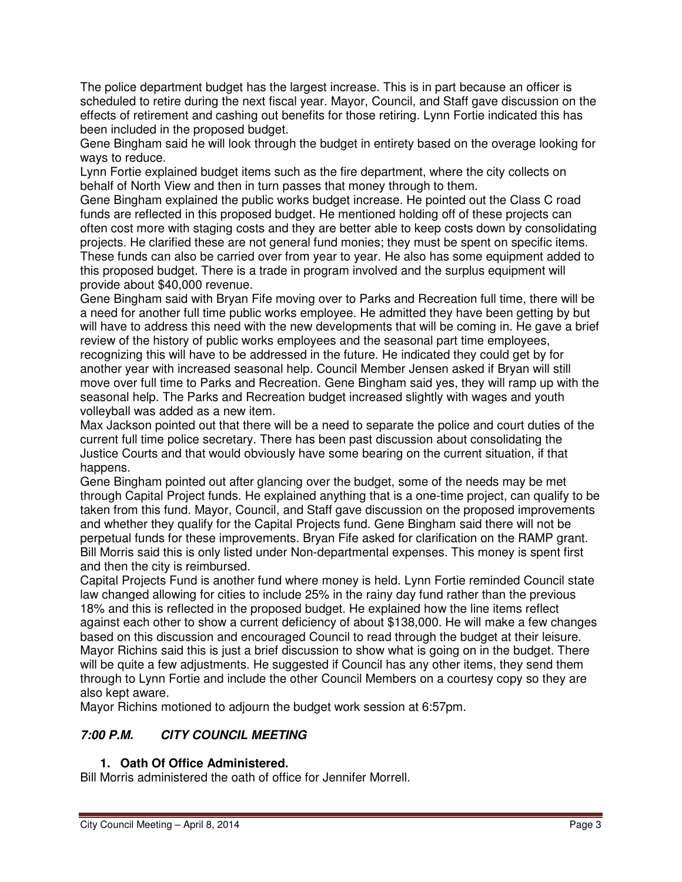The police department budget has the largest increase. This is in part because an officer is scheduled to retire during the next fiscal year. Mayor, Council, and Staff gave discussion on the effects of retirement and cashing out benefits for those retiring. Lynn Fortie indicated this has been included in the proposed budget.

Gene Bingham said he will look through the budget in entirety based on the overage looking for ways to reduce.

Lynn Fortie explained budget items such as the fire department, where the city collects on behalf of North View and then in turn passes that money through to them.

Gene Bingham explained the public works budget increase. He pointed out the Class C road funds are reflected in this proposed budget. He mentioned holding off of these projects can often cost more with staging costs and they are better able to keep costs down by consolidating projects. He clarified these are not general fund monies; they must be spent on specific items. These funds can also be carried over from year to year. He also has some equipment added to this proposed budget. There is a trade in program involved and the surplus equipment will provide about \$40,000 revenue.

Gene Bingham said with Bryan Fife moving over to Parks and Recreation full time, there will be a need for another full time public works employee. He admitted they have been getting by but will have to address this need with the new developments that will be coming in. He gave a brief review of the history of public works employees and the seasonal part time employees, recognizing this will have to be addressed in the future. He indicated they could get by for another year with increased seasonal help. Council Member Jensen asked if Bryan will still move over full time to Parks and Recreation. Gene Bingham said yes, they will ramp up with the seasonal help. The Parks and Recreation budget increased slightly with wages and youth volleyball was added as a new item.

Max Jackson pointed out that there will be a need to separate the police and court duties of the current full time police secretary. There has been past discussion about consolidating the Justice Courts and that would obviously have some bearing on the current situation, if that happens.

Gene Bingham pointed out after glancing over the budget, some of the needs may be met through Capital Project funds. He explained anything that is a one-time project, can qualify to be taken from this fund. Mayor, Council, and Staff gave discussion on the proposed improvements and whether they qualify for the Capital Projects fund. Gene Bingham said there will not be perpetual funds for these improvements. Bryan Fife asked for clarification on the RAMP grant. Bill Morris said this is only listed under Non-departmental expenses. This money is spent first and then the city is reimbursed.

Capital Projects Fund is another fund where money is held. Lynn Fortie reminded Council state law changed allowing for cities to include 25% in the rainy day fund rather than the previous 18% and this is reflected in the proposed budget. He explained how the line items reflect against each other to show a current deficiency of about \$138,000. He will make a few changes based on this discussion and encouraged Council to read through the budget at their leisure. Mayor Richins said this is just a brief discussion to show what is going on in the budget. There will be quite a few adjustments. He suggested if Council has any other items, they send them through to Lynn Fortie and include the other Council Members on a courtesy copy so they are also kept aware.

Mayor Richins motioned to adjourn the budget work session at 6:57pm.

# **7:00 P.M. CITY COUNCIL MEETING**

## **1. Oath Of Office Administered.**

Bill Morris administered the oath of office for Jennifer Morrell.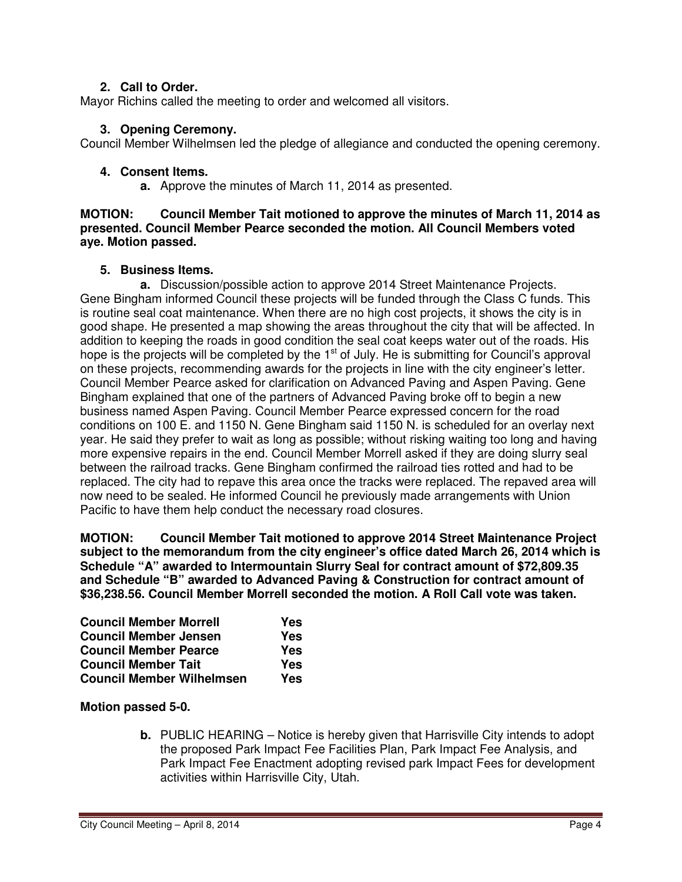### **2. Call to Order.**

Mayor Richins called the meeting to order and welcomed all visitors.

### **3. Opening Ceremony.**

Council Member Wilhelmsen led the pledge of allegiance and conducted the opening ceremony.

### **4. Consent Items.**

**a.** Approve the minutes of March 11, 2014 as presented.

#### **MOTION: Council Member Tait motioned to approve the minutes of March 11, 2014 as presented. Council Member Pearce seconded the motion. All Council Members voted aye. Motion passed.**

### **5. Business Items.**

**a.** Discussion/possible action to approve 2014 Street Maintenance Projects. Gene Bingham informed Council these projects will be funded through the Class C funds. This is routine seal coat maintenance. When there are no high cost projects, it shows the city is in good shape. He presented a map showing the areas throughout the city that will be affected. In addition to keeping the roads in good condition the seal coat keeps water out of the roads. His hope is the projects will be completed by the  $1<sup>st</sup>$  of July. He is submitting for Council's approval on these projects, recommending awards for the projects in line with the city engineer's letter. Council Member Pearce asked for clarification on Advanced Paving and Aspen Paving. Gene Bingham explained that one of the partners of Advanced Paving broke off to begin a new business named Aspen Paving. Council Member Pearce expressed concern for the road conditions on 100 E. and 1150 N. Gene Bingham said 1150 N. is scheduled for an overlay next year. He said they prefer to wait as long as possible; without risking waiting too long and having more expensive repairs in the end. Council Member Morrell asked if they are doing slurry seal between the railroad tracks. Gene Bingham confirmed the railroad ties rotted and had to be replaced. The city had to repave this area once the tracks were replaced. The repaved area will now need to be sealed. He informed Council he previously made arrangements with Union Pacific to have them help conduct the necessary road closures.

**MOTION: Council Member Tait motioned to approve 2014 Street Maintenance Project subject to the memorandum from the city engineer's office dated March 26, 2014 which is Schedule "A" awarded to Intermountain Slurry Seal for contract amount of \$72,809.35 and Schedule "B" awarded to Advanced Paving & Construction for contract amount of \$36,238.56. Council Member Morrell seconded the motion. A Roll Call vote was taken.** 

| <b>Council Member Morrell</b>    | Yes |
|----------------------------------|-----|
| <b>Council Member Jensen</b>     | Yes |
| <b>Council Member Pearce</b>     | Yes |
| <b>Council Member Tait</b>       | Yes |
| <b>Council Member Wilhelmsen</b> | Yes |

#### **Motion passed 5-0.**

**b.** PUBLIC HEARING – Notice is hereby given that Harrisville City intends to adopt the proposed Park Impact Fee Facilities Plan, Park Impact Fee Analysis, and Park Impact Fee Enactment adopting revised park Impact Fees for development activities within Harrisville City, Utah.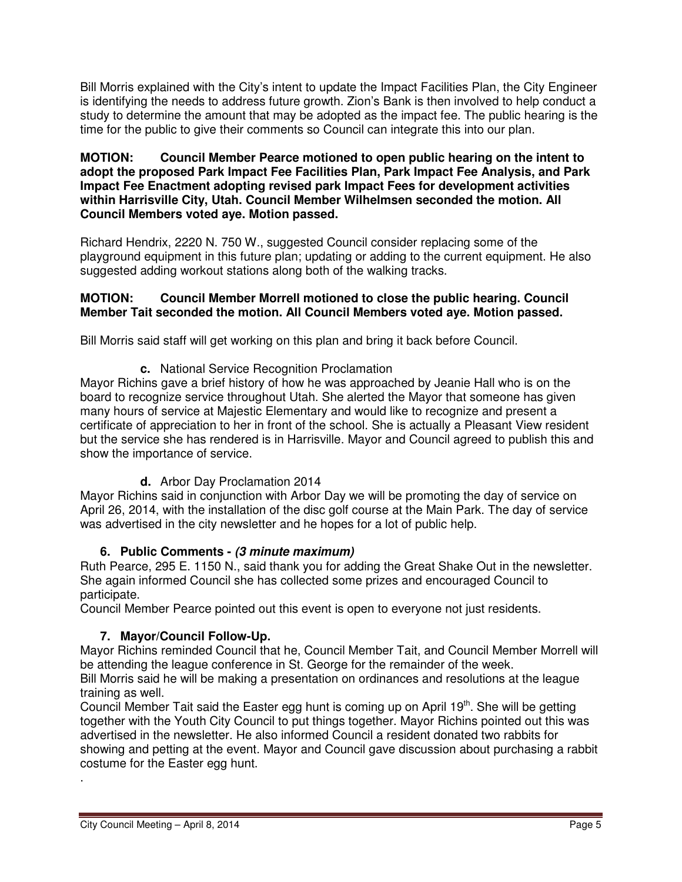Bill Morris explained with the City's intent to update the Impact Facilities Plan, the City Engineer is identifying the needs to address future growth. Zion's Bank is then involved to help conduct a study to determine the amount that may be adopted as the impact fee. The public hearing is the time for the public to give their comments so Council can integrate this into our plan.

#### **MOTION: Council Member Pearce motioned to open public hearing on the intent to adopt the proposed Park Impact Fee Facilities Plan, Park Impact Fee Analysis, and Park Impact Fee Enactment adopting revised park Impact Fees for development activities within Harrisville City, Utah. Council Member Wilhelmsen seconded the motion. All Council Members voted aye. Motion passed.**

Richard Hendrix, 2220 N. 750 W., suggested Council consider replacing some of the playground equipment in this future plan; updating or adding to the current equipment. He also suggested adding workout stations along both of the walking tracks.

### **MOTION: Council Member Morrell motioned to close the public hearing. Council Member Tait seconded the motion. All Council Members voted aye. Motion passed.**

Bill Morris said staff will get working on this plan and bring it back before Council.

**c.** National Service Recognition Proclamation

Mayor Richins gave a brief history of how he was approached by Jeanie Hall who is on the board to recognize service throughout Utah. She alerted the Mayor that someone has given many hours of service at Majestic Elementary and would like to recognize and present a certificate of appreciation to her in front of the school. She is actually a Pleasant View resident but the service she has rendered is in Harrisville. Mayor and Council agreed to publish this and show the importance of service.

**d.** Arbor Day Proclamation 2014

Mayor Richins said in conjunction with Arbor Day we will be promoting the day of service on April 26, 2014, with the installation of the disc golf course at the Main Park. The day of service was advertised in the city newsletter and he hopes for a lot of public help.

# **6. Public Comments - (3 minute maximum)**

Ruth Pearce, 295 E. 1150 N., said thank you for adding the Great Shake Out in the newsletter. She again informed Council she has collected some prizes and encouraged Council to participate.

Council Member Pearce pointed out this event is open to everyone not just residents.

# **7. Mayor/Council Follow-Up.**

Mayor Richins reminded Council that he, Council Member Tait, and Council Member Morrell will be attending the league conference in St. George for the remainder of the week.

Bill Morris said he will be making a presentation on ordinances and resolutions at the league training as well.

Council Member Tait said the Easter egg hunt is coming up on April 19<sup>th</sup>. She will be getting together with the Youth City Council to put things together. Mayor Richins pointed out this was advertised in the newsletter. He also informed Council a resident donated two rabbits for showing and petting at the event. Mayor and Council gave discussion about purchasing a rabbit costume for the Easter egg hunt.

.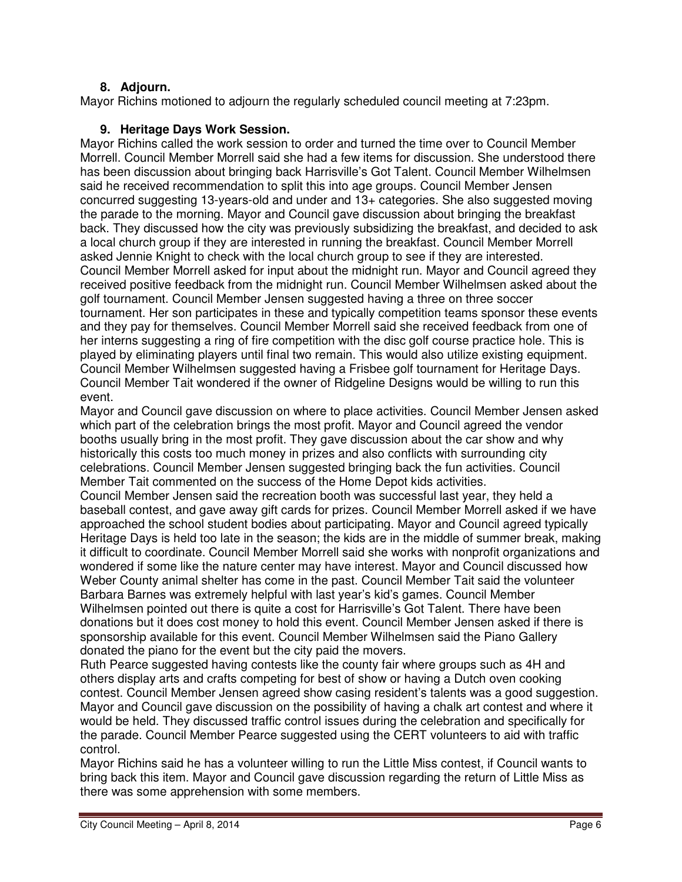### **8. Adjourn.**

Mayor Richins motioned to adjourn the regularly scheduled council meeting at 7:23pm.

### **9. Heritage Days Work Session.**

Mayor Richins called the work session to order and turned the time over to Council Member Morrell. Council Member Morrell said she had a few items for discussion. She understood there has been discussion about bringing back Harrisville's Got Talent. Council Member Wilhelmsen said he received recommendation to split this into age groups. Council Member Jensen concurred suggesting 13-years-old and under and 13+ categories. She also suggested moving the parade to the morning. Mayor and Council gave discussion about bringing the breakfast back. They discussed how the city was previously subsidizing the breakfast, and decided to ask a local church group if they are interested in running the breakfast. Council Member Morrell asked Jennie Knight to check with the local church group to see if they are interested. Council Member Morrell asked for input about the midnight run. Mayor and Council agreed they received positive feedback from the midnight run. Council Member Wilhelmsen asked about the golf tournament. Council Member Jensen suggested having a three on three soccer tournament. Her son participates in these and typically competition teams sponsor these events and they pay for themselves. Council Member Morrell said she received feedback from one of her interns suggesting a ring of fire competition with the disc golf course practice hole. This is played by eliminating players until final two remain. This would also utilize existing equipment. Council Member Wilhelmsen suggested having a Frisbee golf tournament for Heritage Days. Council Member Tait wondered if the owner of Ridgeline Designs would be willing to run this event.

Mayor and Council gave discussion on where to place activities. Council Member Jensen asked which part of the celebration brings the most profit. Mayor and Council agreed the vendor booths usually bring in the most profit. They gave discussion about the car show and why historically this costs too much money in prizes and also conflicts with surrounding city celebrations. Council Member Jensen suggested bringing back the fun activities. Council Member Tait commented on the success of the Home Depot kids activities.

Council Member Jensen said the recreation booth was successful last year, they held a baseball contest, and gave away gift cards for prizes. Council Member Morrell asked if we have approached the school student bodies about participating. Mayor and Council agreed typically Heritage Days is held too late in the season; the kids are in the middle of summer break, making it difficult to coordinate. Council Member Morrell said she works with nonprofit organizations and wondered if some like the nature center may have interest. Mayor and Council discussed how Weber County animal shelter has come in the past. Council Member Tait said the volunteer Barbara Barnes was extremely helpful with last year's kid's games. Council Member Wilhelmsen pointed out there is quite a cost for Harrisville's Got Talent. There have been donations but it does cost money to hold this event. Council Member Jensen asked if there is sponsorship available for this event. Council Member Wilhelmsen said the Piano Gallery donated the piano for the event but the city paid the movers.

Ruth Pearce suggested having contests like the county fair where groups such as 4H and others display arts and crafts competing for best of show or having a Dutch oven cooking contest. Council Member Jensen agreed show casing resident's talents was a good suggestion. Mayor and Council gave discussion on the possibility of having a chalk art contest and where it would be held. They discussed traffic control issues during the celebration and specifically for the parade. Council Member Pearce suggested using the CERT volunteers to aid with traffic control.

Mayor Richins said he has a volunteer willing to run the Little Miss contest, if Council wants to bring back this item. Mayor and Council gave discussion regarding the return of Little Miss as there was some apprehension with some members.